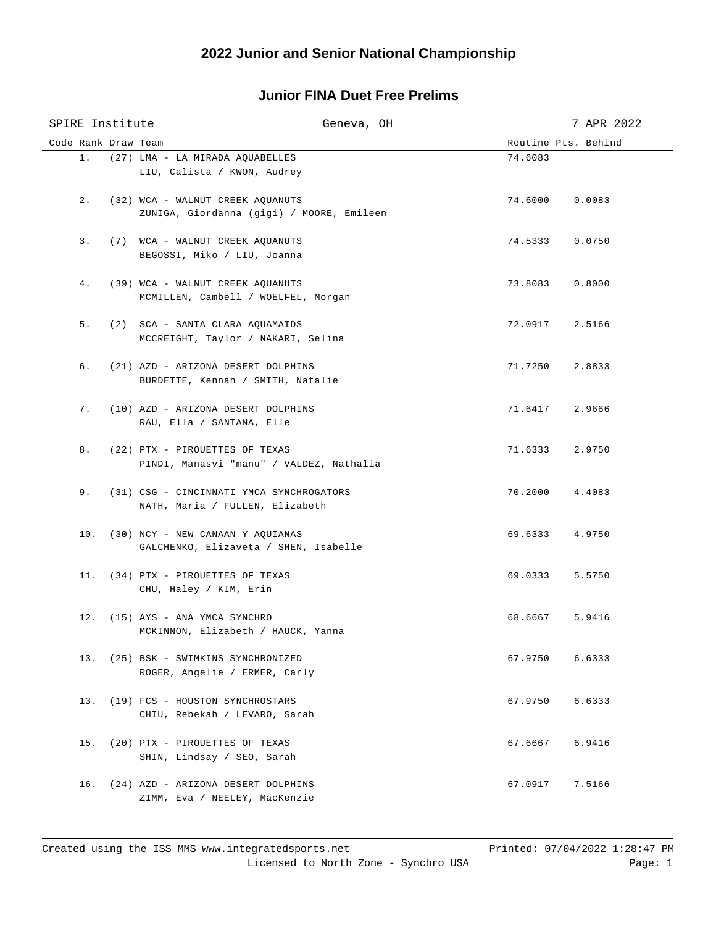# **2022 Junior and Senior National Championship**

### **Junior FINA Duet Free Prelims**

| SPIRE Institute     | Geneva, OH                                                                    |                     | 7 APR 2022 |
|---------------------|-------------------------------------------------------------------------------|---------------------|------------|
| Code Rank Draw Team |                                                                               | Routine Pts. Behind |            |
| $1$ .               | (27) LMA - LA MIRADA AQUABELLES<br>LIU, Calista / KWON, Audrey                | 74.6083             |            |
| 2.                  | (32) WCA - WALNUT CREEK AQUANUTS<br>ZUNIGA, Giordanna (gigi) / MOORE, Emileen | 74.6000             | 0.0083     |
| 3.                  | (7) WCA - WALNUT CREEK AQUANUTS<br>BEGOSSI, Miko / LIU, Joanna                | 74.5333             | 0.0750     |
| 4.                  | (39) WCA - WALNUT CREEK AQUANUTS<br>MCMILLEN, Cambell / WOELFEL, Morgan       | 73.8083             | 0.8000     |
| 5.                  | (2) SCA - SANTA CLARA AQUAMAIDS<br>MCCREIGHT, Taylor / NAKARI, Selina         | 72.0917             | 2.5166     |
| б.                  | (21) AZD - ARIZONA DESERT DOLPHINS<br>BURDETTE, Kennah / SMITH, Natalie       | 71.7250             | 2.8833     |
| 7.                  | (10) AZD - ARIZONA DESERT DOLPHINS<br>RAU, Ella / SANTANA, Elle               | 71.6417 2.9666      |            |
| 8.                  | (22) PTX - PIROUETTES OF TEXAS<br>PINDI, Manasvi "manu" / VALDEZ, Nathalia    | 71.6333 2.9750      |            |
| 9.                  | (31) CSG - CINCINNATI YMCA SYNCHROGATORS<br>NATH, Maria / FULLEN, Elizabeth   | 70.2000             | 4.4083     |
|                     | 10. (30) NCY - NEW CANAAN Y AQUIANAS<br>GALCHENKO, Elizaveta / SHEN, Isabelle | 69.6333             | 4.9750     |
|                     | 11. (34) PTX - PIROUETTES OF TEXAS<br>CHU, Haley / KIM, Erin                  | 69.0333             | 5.5750     |
|                     | 12. (15) AYS - ANA YMCA SYNCHRO<br>MCKINNON, Elizabeth / HAUCK, Yanna         | 68.6667             | 5.9416     |
|                     | 13. (25) BSK - SWIMKINS SYNCHRONIZED<br>ROGER, Angelie / ERMER, Carly         | 67.9750             | 6.6333     |
|                     | 13. (19) FCS - HOUSTON SYNCHROSTARS<br>CHIU, Rebekah / LEVARO, Sarah          | 67.9750             | 6.6333     |
| 15.                 | (20) PTX - PIROUETTES OF TEXAS<br>SHIN, Lindsay / SEO, Sarah                  | 67.6667             | 6.9416     |
| 16.                 | (24) AZD - ARIZONA DESERT DOLPHINS<br>ZIMM, Eva / NEELEY, MacKenzie           | 67.0917             | 7.5166     |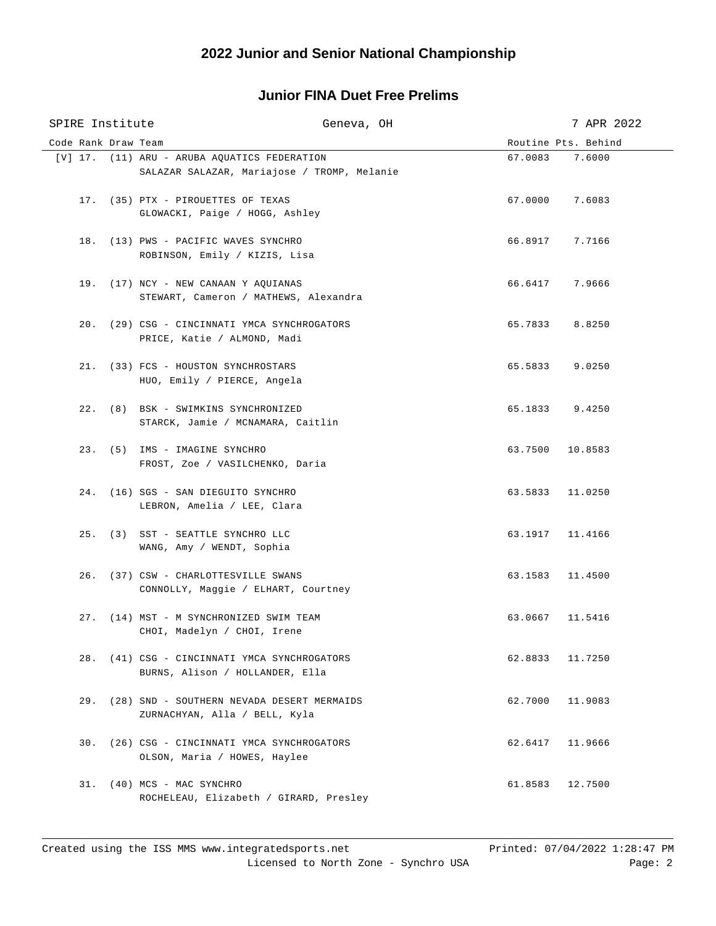# **2022 Junior and Senior National Championship**

### **Junior FINA Duet Free Prelims**

| SPIRE Institute     |                                                                                 | Geneva, OH |                 | 7 APR 2022          |
|---------------------|---------------------------------------------------------------------------------|------------|-----------------|---------------------|
| Code Rank Draw Team |                                                                                 |            |                 | Routine Pts. Behind |
|                     | [V] 17. (11) ARU - ARUBA AQUATICS FEDERATION                                    |            | 67.0083         | 7.6000              |
|                     | SALAZAR SALAZAR, Mariajose / TROMP, Melanie                                     |            |                 |                     |
|                     | 17. (35) PTX - PIROUETTES OF TEXAS                                              |            | 67.0000         | 7.6083              |
|                     | GLOWACKI, Paige / HOGG, Ashley                                                  |            |                 |                     |
|                     | 18. (13) PWS - PACIFIC WAVES SYNCHRO<br>ROBINSON, Emily / KIZIS, Lisa           |            | 66.8917         | 7.7166              |
|                     | 19. (17) NCY - NEW CANAAN Y AQUIANAS<br>STEWART, Cameron / MATHEWS, Alexandra   |            | 66.6417         | 7.9666              |
|                     | 20. (29) CSG - CINCINNATI YMCA SYNCHROGATORS<br>PRICE, Katie / ALMOND, Madi     |            | 65.7833         | 8.8250              |
|                     | 21. (33) FCS - HOUSTON SYNCHROSTARS<br>HUO, Emily / PIERCE, Angela              |            | 65.5833         | 9.0250              |
|                     | 22. (8) BSK - SWIMKINS SYNCHRONIZED<br>STARCK, Jamie / MCNAMARA, Caitlin        |            | 65.1833 9.4250  |                     |
|                     | 23. (5) IMS - IMAGINE SYNCHRO<br>FROST, Zoe / VASILCHENKO, Daria                |            | 63.7500         | 10.8583             |
|                     | 24. (16) SGS - SAN DIEGUITO SYNCHRO<br>LEBRON, Amelia / LEE, Clara              |            | 63.5833         | 11.0250             |
|                     | 25. (3) SST - SEATTLE SYNCHRO LLC<br>WANG, Amy / WENDT, Sophia                  |            | 63.1917 11.4166 |                     |
|                     | 26. (37) CSW - CHARLOTTESVILLE SWANS<br>CONNOLLY, Maggie / ELHART, Courtney     |            | 63.1583         | 11.4500             |
|                     | 27. (14) MST - M SYNCHRONIZED SWIM TEAM<br>CHOI, Madelyn / CHOI, Irene          |            | 63.0667         | 11.5416             |
|                     | 28. (41) CSG - CINCINNATI YMCA SYNCHROGATORS<br>BURNS, Alison / HOLLANDER, Ella |            | 62.8833         | 11.7250             |
| 29.                 | (28) SND - SOUTHERN NEVADA DESERT MERMAIDS<br>ZURNACHYAN, Alla / BELL, Kyla     |            | 62.7000         | 11.9083             |
| 30.                 | (26) CSG - CINCINNATI YMCA SYNCHROGATORS<br>OLSON, Maria / HOWES, Haylee        |            | 62.6417         | 11.9666             |
|                     | 31. (40) MCS - MAC SYNCHRO<br>ROCHELEAU, Elizabeth / GIRARD, Presley            |            | 61.8583         | 12.7500             |